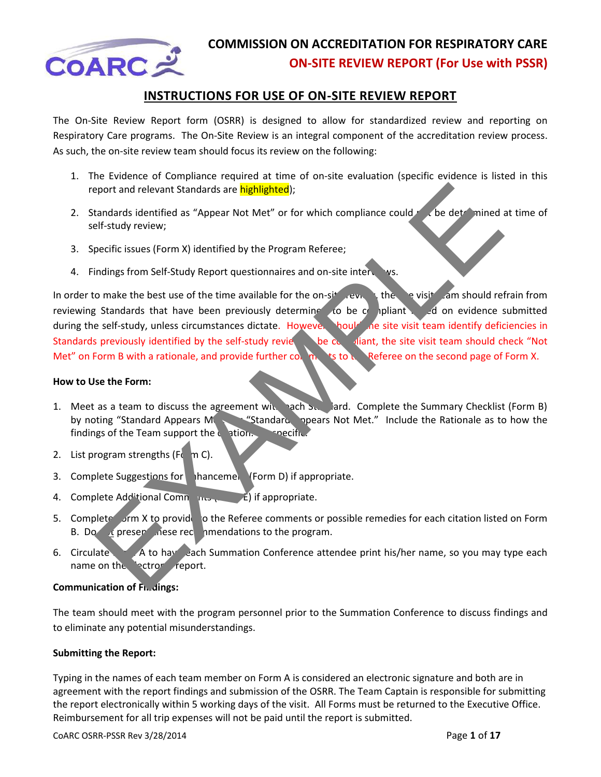

#### **INSTRUCTIONS FOR USE OF ON-SITE REVIEW REPORT**

The On-Site Review Report form (OSRR) is designed to allow for standardized review and reporting on Respiratory Care programs. The On-Site Review is an integral component of the accreditation review process. As such, the on-site review team should focus its review on the following:

- 1. The Evidence of Compliance required at time of on-site evaluation (specific evidence is listed in this report and relevant Standards are highlighted);
- 2. Standards identified as "Appear Not Met" or for which compliance could not be determined at time of self-study review;
- 3. Specific issues (Form X) identified by the Program Referee;
- 4. Findings from Self-Study Report questionnaires and on-site interviews.

In order to make the best use of the time available for the on-site review, the servisite cam should refrain from reviewing Standards that have been previously determine to be compliant and on evidence submitted during the self-study, unless circumstances dictate. However, hould the site visit team identify deficiencies in Standards previously identified by the self-study reviet be compliant, the site visit team should check "Not Met" on Form B with a rationale, and provide further compute to the Referee on the second page of Form X. Proof and relevant Standards are **highlighted**);<br>
Randards identified as "Appear Not Met" or for which compliance could<br>
Ef-study review;<br>
Examples from Stift-Study Report questionnaires and on-site interviews.<br>
The onake

#### **How to Use the Form:**

- 1. Meet as a team to discuss the agreement with each Standard. Complete the Summary Checklist (Form B) by noting "Standard Appears Metrical Appears Met," Include the Rationale as to how the findings of the Team support the circuiton.  $\Box$  are specific.
- 2. List program strengths ( $F<sub>c</sub>$  m C).
- 3. Complete Suggestions for **Thancemel (Form D)** if appropriate.
- 4. Complete Additional Comments ( $\frac{E}{E}$ ) if appropriate.
- 5. Complete orm X to provide to the Referee comments or possible remedies for each citation listed on Form B. Do  $\alpha$  present these recommendations to the program.
- 6. Circulate Form A to have each Summation Conference attendee print his/her name, so you may type each name on the ectronic report.

#### **Communication of Findings:**

The team should meet with the program personnel prior to the Summation Conference to discuss findings and to eliminate any potential misunderstandings.

#### **Submitting the Report:**

Typing in the names of each team member on Form A is considered an electronic signature and both are in agreement with the report findings and submission of the OSRR. The Team Captain is responsible for submitting the report electronically within 5 working days of the visit. All Forms must be returned to the Executive Office. Reimbursement for all trip expenses will not be paid until the report is submitted.

CoARC OSRR-PSSR Rev 3/28/2014 Page **1** of **17**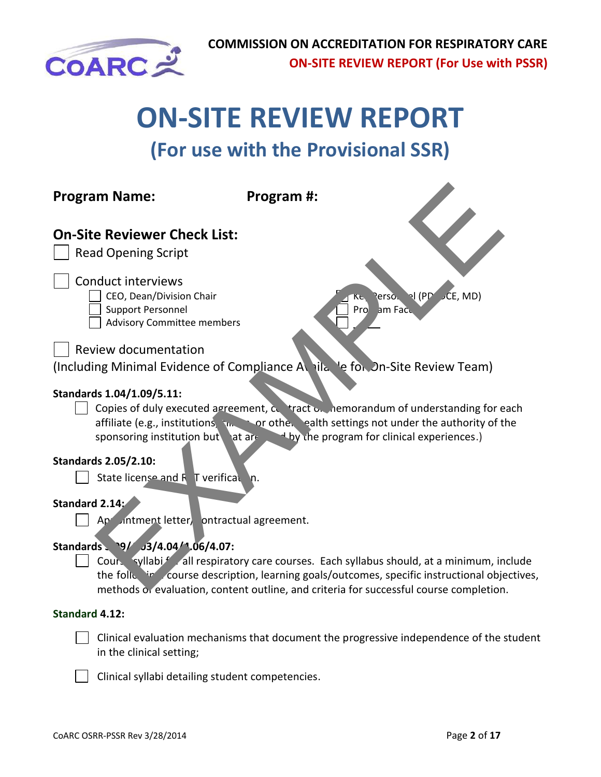

# **ON-SITE REVIEW REPORT**

## **(For use with the Provisional SSR)**

| <b>Program Name:</b>                                                                                                                                                                                                                 | Program #:                                                                                                                                                                                                                                                                                                                                                                                                                                                                                                                |
|--------------------------------------------------------------------------------------------------------------------------------------------------------------------------------------------------------------------------------------|---------------------------------------------------------------------------------------------------------------------------------------------------------------------------------------------------------------------------------------------------------------------------------------------------------------------------------------------------------------------------------------------------------------------------------------------------------------------------------------------------------------------------|
| <b>On-Site Reviewer Check List:</b><br><b>Read Opening Script</b>                                                                                                                                                                    |                                                                                                                                                                                                                                                                                                                                                                                                                                                                                                                           |
| <b>Conduct interviews</b><br>CEO, Dean/Division Chair<br><b>Support Personnel</b><br><b>Advisory Committee members</b>                                                                                                               | erso. I (PD CE, MD)<br>Pro<br>am Facu                                                                                                                                                                                                                                                                                                                                                                                                                                                                                     |
| <b>Review documentation</b>                                                                                                                                                                                                          | (Including Minimal Evidence of Compliance A ail to the Site Review Team)                                                                                                                                                                                                                                                                                                                                                                                                                                                  |
| Standards 1.04/1.09/5.11:<br>sponsoring institution but at are<br><b>Standards 2.05/2.10:</b><br>State license and R T verifical n.<br>Standard 2.14:<br>Ap intment letter, ontractual agreement.<br>Standards 9/ J3/4.04/1.06/4.07: | Copies of duly executed agreement, contract on the morandum of understanding for each<br>affiliate (e.g., institutions, in the corother ealth settings not under the authority of the<br>by the program for clinical experiences.)<br>Cours syllabif all respiratory care courses. Each syllabus should, at a minimum, include<br>the following course description, learning goals/outcomes, specific instructional objectives,<br>methods or evaluation, content outline, and criteria for successful course completion. |
| <b>Standard 4.12:</b>                                                                                                                                                                                                                |                                                                                                                                                                                                                                                                                                                                                                                                                                                                                                                           |
| in the clinical setting;                                                                                                                                                                                                             | Clinical evaluation mechanisms that document the progressive independence of the student                                                                                                                                                                                                                                                                                                                                                                                                                                  |
| Clinical syllabi detailing student competencies.                                                                                                                                                                                     |                                                                                                                                                                                                                                                                                                                                                                                                                                                                                                                           |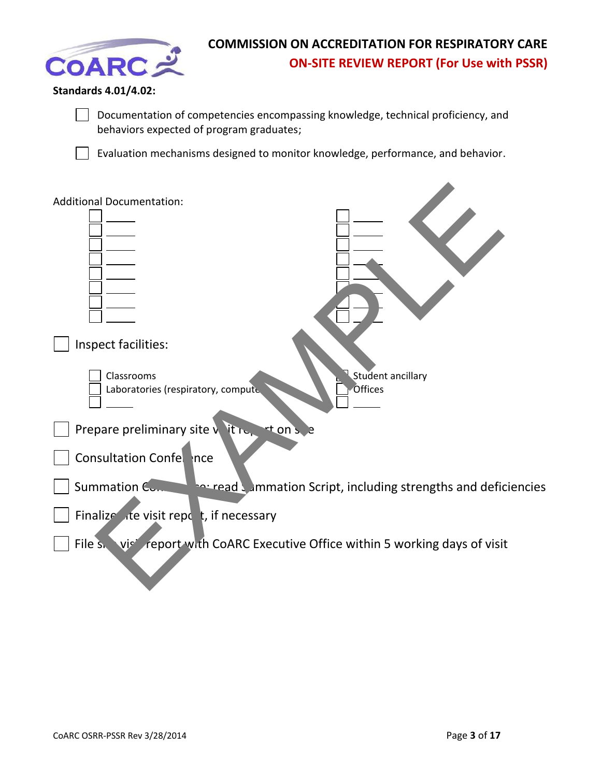

#### **Standards 4.01/4.02:**

Documentation of competencies encompassing knowledge, technical proficiency, and behaviors expected of program graduates;

Evaluation mechanisms designed to monitor knowledge, performance, and behavior.

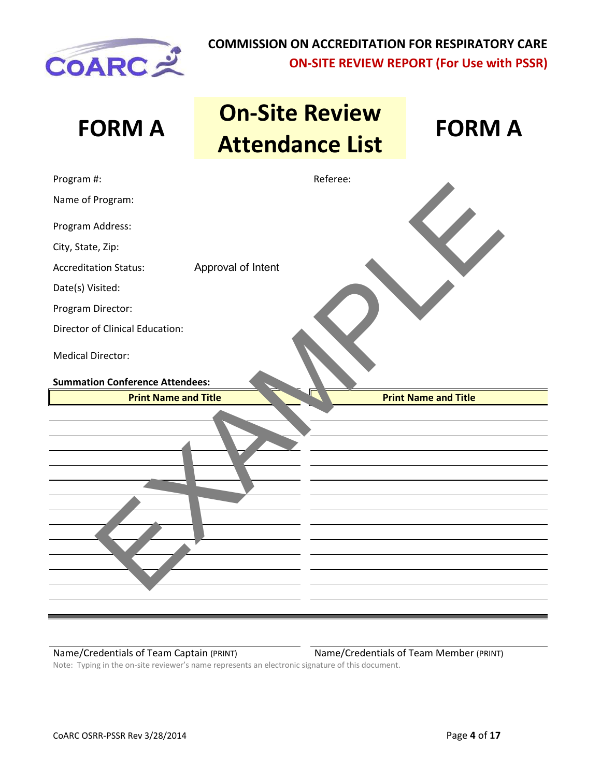

| <b>FORM A</b>                          | <b>On-Site Review</b><br><b>Attendance List</b> | <b>FORM A</b>               |
|----------------------------------------|-------------------------------------------------|-----------------------------|
| Program #:                             | Referee:                                        |                             |
| Name of Program:                       |                                                 |                             |
| Program Address:                       |                                                 |                             |
| City, State, Zip:                      |                                                 |                             |
| <b>Accreditation Status:</b>           | Approval of Intent                              |                             |
| Date(s) Visited:                       |                                                 |                             |
| Program Director:                      |                                                 |                             |
| Director of Clinical Education:        |                                                 |                             |
| <b>Medical Director:</b>               |                                                 |                             |
| <b>Summation Conference Attendees:</b> |                                                 |                             |
| <b>Print Name and Title</b>            |                                                 | <b>Print Name and Title</b> |
|                                        |                                                 |                             |
|                                        |                                                 |                             |

Name/Credentials of Team Captain (PRINT) Name/Credentials of Team Member (PRINT)

Note: Typing in the on-site reviewer's name represents an electronic signature of this document.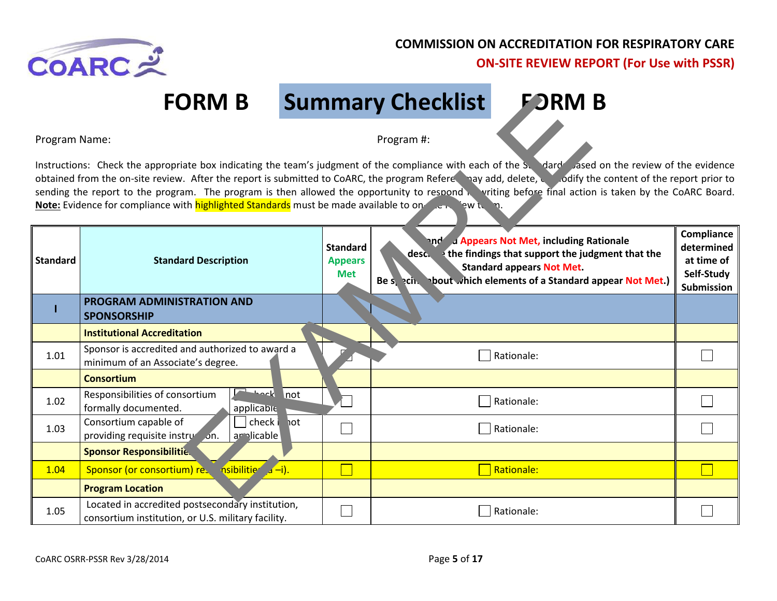

## **FORM B Summary Checklist FORM B**

|                                                                                                                                                                                                                                                                                                                                                                                                                                                                                                                                                                                   | <b>FORM B</b>                                                                                          |                                                 | <b>Summary Checklist</b> | <b>FORM B</b>                                                                                                                                                                                              |                                                                    |
|-----------------------------------------------------------------------------------------------------------------------------------------------------------------------------------------------------------------------------------------------------------------------------------------------------------------------------------------------------------------------------------------------------------------------------------------------------------------------------------------------------------------------------------------------------------------------------------|--------------------------------------------------------------------------------------------------------|-------------------------------------------------|--------------------------|------------------------------------------------------------------------------------------------------------------------------------------------------------------------------------------------------------|--------------------------------------------------------------------|
| Program Name:                                                                                                                                                                                                                                                                                                                                                                                                                                                                                                                                                                     |                                                                                                        |                                                 | Program #:               |                                                                                                                                                                                                            |                                                                    |
| Instructions: Check the appropriate box indicating the team's judgment of the compliance with each of the Sumand Sased on the review of the evidence<br>odify the content of the report prior to to the report is submitted to CoARC, the program Refere and and, delete, of dify the content of the report prior to<br>sending the report to the program. The program is then allowed the opportunity to respond writing before final action is taken by the CoARC Board.<br>Note: Evidence for compliance with highlighted Standards must be made available to on the sew term. |                                                                                                        |                                                 |                          |                                                                                                                                                                                                            |                                                                    |
| <b>Standard</b>                                                                                                                                                                                                                                                                                                                                                                                                                                                                                                                                                                   | <b>Standard Description</b>                                                                            | <b>Standard</b><br><b>Appears</b><br><b>Met</b> |                          | and a Appears Not Met, including Rationale<br>$desc.$ the findings that support the judgment that the<br><b>Standard appears Not Met.</b><br>Be service bout which elements of a Standard appear Not Met.) | Compliance<br>determined<br>at time of<br>Self-Study<br>Submission |
|                                                                                                                                                                                                                                                                                                                                                                                                                                                                                                                                                                                   | PROGRAM ADMINISTRATION AND<br><b>SPONSORSHIP</b>                                                       |                                                 |                          |                                                                                                                                                                                                            |                                                                    |
|                                                                                                                                                                                                                                                                                                                                                                                                                                                                                                                                                                                   | <b>Institutional Accreditation</b>                                                                     |                                                 |                          |                                                                                                                                                                                                            |                                                                    |
| 1.01                                                                                                                                                                                                                                                                                                                                                                                                                                                                                                                                                                              | Sponsor is accredited and authorized to award a<br>minimum of an Associate's degree.                   |                                                 |                          | Rationale:                                                                                                                                                                                                 |                                                                    |
|                                                                                                                                                                                                                                                                                                                                                                                                                                                                                                                                                                                   | <b>Consortium</b>                                                                                      |                                                 |                          |                                                                                                                                                                                                            |                                                                    |
| 1.02                                                                                                                                                                                                                                                                                                                                                                                                                                                                                                                                                                              | <b>Theck</b> not<br>Responsibilities of consortium<br>formally documented.<br>applicable               |                                                 |                          | Rationale:                                                                                                                                                                                                 |                                                                    |
| 1.03                                                                                                                                                                                                                                                                                                                                                                                                                                                                                                                                                                              | check in ot<br>Consortium capable of<br>providing requisite instruction.<br>arplicable                 |                                                 |                          | Rationale:                                                                                                                                                                                                 |                                                                    |
|                                                                                                                                                                                                                                                                                                                                                                                                                                                                                                                                                                                   | <b>Sponsor Responsibilitie.</b>                                                                        |                                                 |                          |                                                                                                                                                                                                            |                                                                    |
| 1.04                                                                                                                                                                                                                                                                                                                                                                                                                                                                                                                                                                              | $nsibility'$ $\overline{a}-i$ ).<br>Sponsor (or consortium) res                                        |                                                 |                          | <b>Rationale:</b>                                                                                                                                                                                          |                                                                    |
|                                                                                                                                                                                                                                                                                                                                                                                                                                                                                                                                                                                   | <b>Program Location</b>                                                                                |                                                 |                          |                                                                                                                                                                                                            |                                                                    |
| 1.05                                                                                                                                                                                                                                                                                                                                                                                                                                                                                                                                                                              | Located in accredited postsecondary institution,<br>consortium institution, or U.S. military facility. |                                                 |                          | Rationale:                                                                                                                                                                                                 |                                                                    |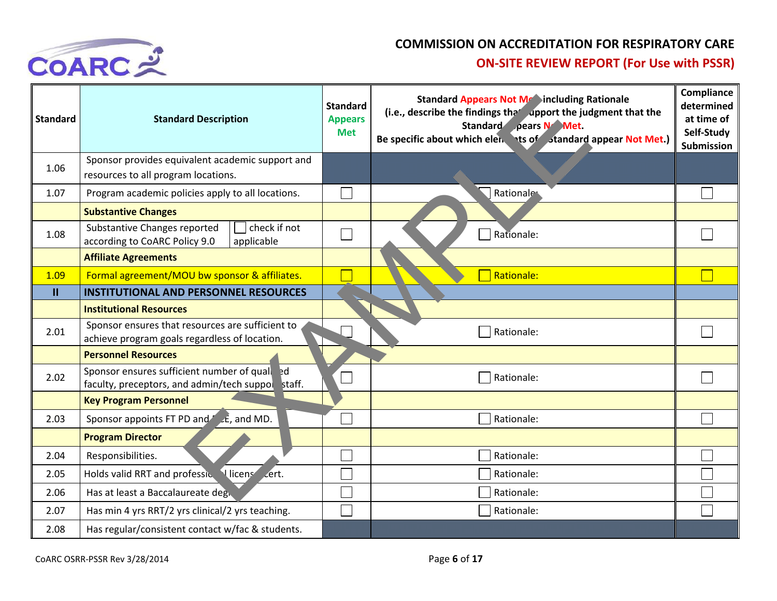

| <b>Standard</b> | <b>Standard Description</b>                                                                       | <b>Standard</b><br><b>Appears</b><br><b>Met</b> | <b>Standard Appears Not Metaincluding Rationale</b><br>(i.e., describe the findings that upport the judgment that the<br>Standard pears N Met.<br>Be specific about which elen ts of standard appear Not Met.) | Compliance<br>determined<br>at time of<br>Self-Study<br><b>Submission</b> |
|-----------------|---------------------------------------------------------------------------------------------------|-------------------------------------------------|----------------------------------------------------------------------------------------------------------------------------------------------------------------------------------------------------------------|---------------------------------------------------------------------------|
| 1.06            | Sponsor provides equivalent academic support and<br>resources to all program locations.           |                                                 |                                                                                                                                                                                                                |                                                                           |
| 1.07            | Program academic policies apply to all locations.                                                 |                                                 | Rationale                                                                                                                                                                                                      |                                                                           |
|                 | <b>Substantive Changes</b>                                                                        |                                                 |                                                                                                                                                                                                                |                                                                           |
| 1.08            | check if not<br>Substantive Changes reported<br>according to CoARC Policy 9.0<br>applicable       |                                                 | Rationale:                                                                                                                                                                                                     |                                                                           |
|                 | <b>Affiliate Agreements</b>                                                                       |                                                 |                                                                                                                                                                                                                |                                                                           |
| 1.09            | Formal agreement/MOU bw sponsor & affiliates.                                                     |                                                 | Rationale:                                                                                                                                                                                                     |                                                                           |
| $\mathbf{H}$    | <b>INSTITUTIONAL AND PERSONNEL RESOURCES</b>                                                      |                                                 |                                                                                                                                                                                                                |                                                                           |
|                 | <b>Institutional Resources</b>                                                                    |                                                 |                                                                                                                                                                                                                |                                                                           |
| 2.01            | Sponsor ensures that resources are sufficient to<br>achieve program goals regardless of location. | Rationale:                                      |                                                                                                                                                                                                                |                                                                           |
|                 | <b>Personnel Resources</b>                                                                        |                                                 |                                                                                                                                                                                                                |                                                                           |
| 2.02            | Sponsor ensures sufficient number of qualied<br>faculty, preceptors, and admin/tech suppor staff. | Rationale:                                      |                                                                                                                                                                                                                |                                                                           |
|                 | <b>Key Program Personnel</b>                                                                      |                                                 |                                                                                                                                                                                                                |                                                                           |
| 2.03            | Sponsor appoints FT PD and $\mathcal{L}$ , and MD.                                                |                                                 | Rationale:                                                                                                                                                                                                     |                                                                           |
|                 | <b>Program Director</b>                                                                           |                                                 |                                                                                                                                                                                                                |                                                                           |
| 2.04            | Responsibilities.                                                                                 |                                                 | Rationale:                                                                                                                                                                                                     |                                                                           |
| 2.05            | Holds valid RRT and professic Ulicens cert.                                                       | Rationale:                                      |                                                                                                                                                                                                                |                                                                           |
| 2.06            | Has at least a Baccalaureate deg.                                                                 |                                                 | Rationale:                                                                                                                                                                                                     |                                                                           |
| 2.07            | Has min 4 yrs RRT/2 yrs clinical/2 yrs teaching.                                                  |                                                 | Rationale:                                                                                                                                                                                                     |                                                                           |
| 2.08            | Has regular/consistent contact w/fac & students.                                                  |                                                 |                                                                                                                                                                                                                |                                                                           |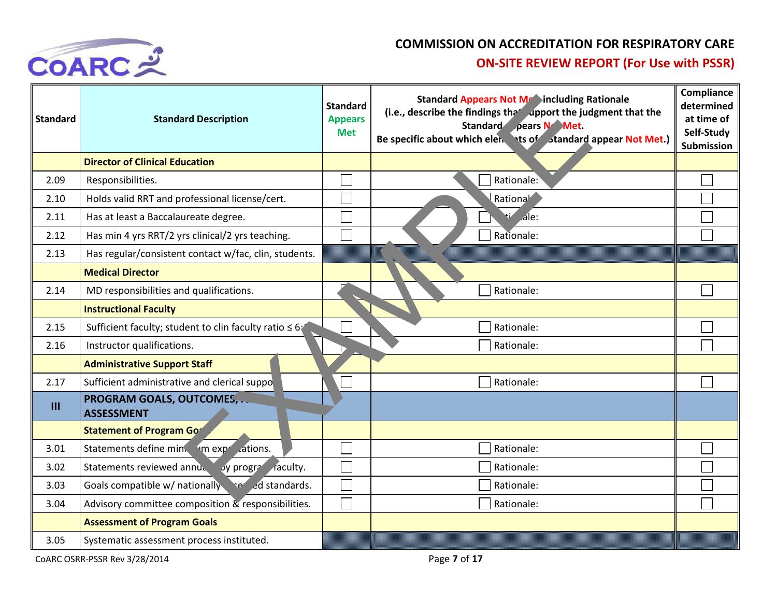

| <b>Standard</b> | <b>Standard Description</b>                           | <b>Standard</b><br><b>Appears</b><br><b>Met</b> | <b>Standard Appears Not MeCincluding Rationale</b><br>(i.e., describe the findings the <i>dpport</i> the judgment that the<br>Standard pears N Met.<br>Be specific about which elen ts of standard appear Not Met.) | <b>Compliance</b><br>determined<br>at time of<br>Self-Study<br>Submission |
|-----------------|-------------------------------------------------------|-------------------------------------------------|---------------------------------------------------------------------------------------------------------------------------------------------------------------------------------------------------------------------|---------------------------------------------------------------------------|
|                 | <b>Director of Clinical Education</b>                 |                                                 |                                                                                                                                                                                                                     |                                                                           |
| 2.09            | Responsibilities.                                     |                                                 | Rationale:                                                                                                                                                                                                          |                                                                           |
| 2.10            | Holds valid RRT and professional license/cert.        |                                                 | Rationa <sup>l</sup>                                                                                                                                                                                                |                                                                           |
| 2.11            | Has at least a Baccalaureate degree.                  |                                                 | $\overline{A}$ le:                                                                                                                                                                                                  |                                                                           |
| 2.12            | Has min 4 yrs RRT/2 yrs clinical/2 yrs teaching.      |                                                 | Rationale:                                                                                                                                                                                                          |                                                                           |
| 2.13            | Has regular/consistent contact w/fac, clin, students. |                                                 |                                                                                                                                                                                                                     |                                                                           |
|                 | <b>Medical Director</b>                               |                                                 |                                                                                                                                                                                                                     |                                                                           |
| 2.14            | MD responsibilities and qualifications.               |                                                 | Rationale:                                                                                                                                                                                                          |                                                                           |
|                 | <b>Instructional Faculty</b>                          |                                                 |                                                                                                                                                                                                                     |                                                                           |
| 2.15            | Sufficient faculty; student to clin faculty ratio ≤ 6 |                                                 | Rationale:                                                                                                                                                                                                          |                                                                           |
| 2.16            | Instructor qualifications.                            |                                                 | Rationale:                                                                                                                                                                                                          |                                                                           |
|                 | <b>Administrative Support Staff</b>                   |                                                 |                                                                                                                                                                                                                     |                                                                           |
| 2.17            | Sufficient administrative and clerical suppo          |                                                 | Rationale:                                                                                                                                                                                                          |                                                                           |
| III             | PROGRAM GOALS, OUTCOMES,<br><b>ASSESSMENT</b>         |                                                 |                                                                                                                                                                                                                     |                                                                           |
|                 | <b>Statement of Program Gor</b>                       |                                                 |                                                                                                                                                                                                                     |                                                                           |
| 3.01            | Statements define min. I'm exprit ations.             |                                                 | Rationale:                                                                                                                                                                                                          |                                                                           |
| 3.02            | Statements reviewed annually by program raculty.      |                                                 | Rationale:                                                                                                                                                                                                          |                                                                           |
| 3.03            | Goals compatible w/ nationally senied standards.      |                                                 | Rationale:                                                                                                                                                                                                          |                                                                           |
| 3.04            | Advisory committee composition & responsibilities.    |                                                 | Rationale:                                                                                                                                                                                                          |                                                                           |
|                 | <b>Assessment of Program Goals</b>                    |                                                 |                                                                                                                                                                                                                     |                                                                           |
| 3.05            | Systematic assessment process instituted.             |                                                 |                                                                                                                                                                                                                     |                                                                           |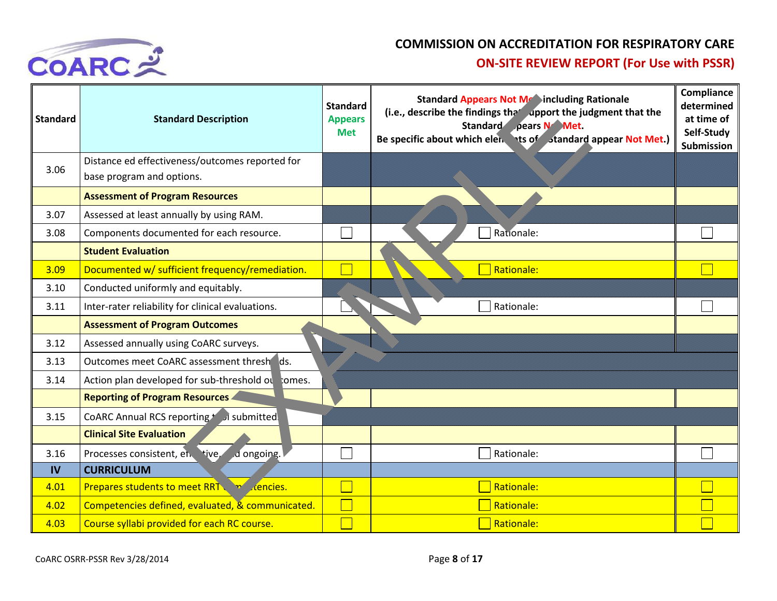

| <b>Standard</b> | <b>Standard Description</b>                                                  | <b>Standard</b><br><b>Appears</b><br><b>Met</b> | <b>Standard Appears Not Me Sincluding Rationale</b><br>(i.e., describe the findings that upport the judgment that the<br>Standard pears N Met.<br>Be specific about which elen ts of standard appear Not Met.) | Compliance<br>determined<br>at time of<br>Self-Study<br><b>Submission</b> |
|-----------------|------------------------------------------------------------------------------|-------------------------------------------------|----------------------------------------------------------------------------------------------------------------------------------------------------------------------------------------------------------------|---------------------------------------------------------------------------|
| 3.06            | Distance ed effectiveness/outcomes reported for<br>base program and options. |                                                 |                                                                                                                                                                                                                |                                                                           |
|                 | <b>Assessment of Program Resources</b>                                       |                                                 |                                                                                                                                                                                                                |                                                                           |
| 3.07            | Assessed at least annually by using RAM.                                     |                                                 |                                                                                                                                                                                                                |                                                                           |
| 3.08            | Components documented for each resource.                                     |                                                 | Rationale:                                                                                                                                                                                                     |                                                                           |
|                 | <b>Student Evaluation</b>                                                    |                                                 |                                                                                                                                                                                                                |                                                                           |
| 3.09            | Documented w/ sufficient frequency/remediation.                              |                                                 | Rationale:                                                                                                                                                                                                     |                                                                           |
| 3.10            | Conducted uniformly and equitably.                                           |                                                 |                                                                                                                                                                                                                |                                                                           |
| 3.11            | Inter-rater reliability for clinical evaluations.                            |                                                 | Rationale:                                                                                                                                                                                                     |                                                                           |
|                 | <b>Assessment of Program Outcomes</b>                                        |                                                 |                                                                                                                                                                                                                |                                                                           |
| 3.12            | Assessed annually using CoARC surveys.                                       |                                                 |                                                                                                                                                                                                                |                                                                           |
| 3.13            | Outcomes meet CoARC assessment thresh ds.                                    |                                                 |                                                                                                                                                                                                                |                                                                           |
| 3.14            | Action plan developed for sub-threshold ou comes.                            |                                                 |                                                                                                                                                                                                                |                                                                           |
|                 | <b>Reporting of Program Resources</b>                                        |                                                 |                                                                                                                                                                                                                |                                                                           |
| 3.15            | CoARC Annual RCS reporting for a submitted                                   |                                                 |                                                                                                                                                                                                                |                                                                           |
|                 | <b>Clinical Site Evaluation</b>                                              |                                                 |                                                                                                                                                                                                                |                                                                           |
| 3.16            | Processes consistent, et. tive,<br>d ongoing.                                |                                                 | Rationale:                                                                                                                                                                                                     |                                                                           |
| <b>IV</b>       | <b>CURRICULUM</b>                                                            |                                                 |                                                                                                                                                                                                                |                                                                           |
| 4.01            | <b>Prepares students to meet RRT vicencies.</b>                              |                                                 | Rationale:                                                                                                                                                                                                     |                                                                           |
| 4.02            | Competencies defined, evaluated, & communicated.                             |                                                 | Rationale:                                                                                                                                                                                                     |                                                                           |
| 4.03            | Course syllabi provided for each RC course.                                  |                                                 | Rationale:                                                                                                                                                                                                     |                                                                           |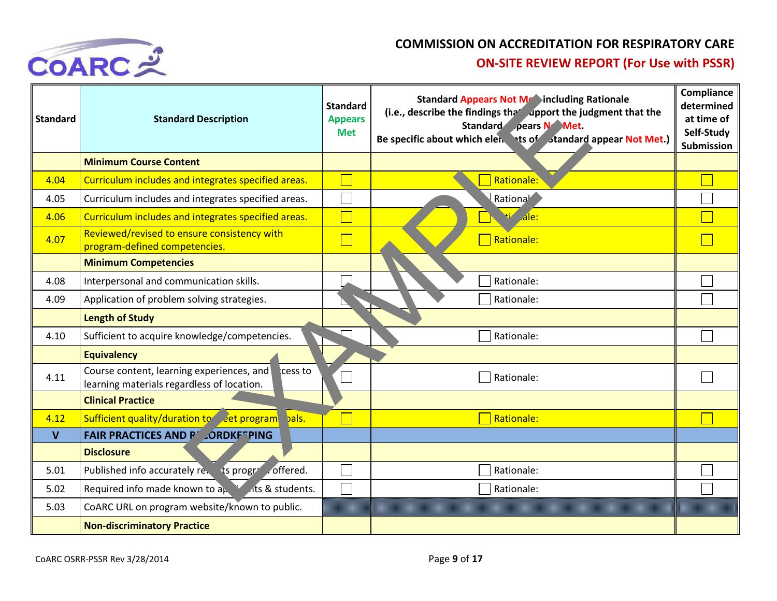

| <b>Standard</b> | <b>Standard Description</b>                                                                        | <b>Standard</b><br><b>Appears</b><br><b>Met</b> | <b>Standard Appears Not Mranincluding Rationale</b><br>(i.e., describe the findings the <i>dpport</i> the judgment that the<br>Standard pears N Met.<br>Be specific about which elen ts of standard appear Not Met.) | <b>Compliance</b><br>determined<br>at time of<br>Self-Study<br><b>Submission</b> |
|-----------------|----------------------------------------------------------------------------------------------------|-------------------------------------------------|----------------------------------------------------------------------------------------------------------------------------------------------------------------------------------------------------------------------|----------------------------------------------------------------------------------|
|                 | <b>Minimum Course Content</b>                                                                      |                                                 |                                                                                                                                                                                                                      |                                                                                  |
| 4.04            | Curriculum includes and integrates specified areas.                                                |                                                 | Rationale:                                                                                                                                                                                                           |                                                                                  |
| 4.05            | Curriculum includes and integrates specified areas.                                                |                                                 | Rational                                                                                                                                                                                                             |                                                                                  |
| 4.06            | Curriculum includes and integrates specified areas.                                                |                                                 | <b>Hi</b> ale:                                                                                                                                                                                                       |                                                                                  |
| 4.07            | Reviewed/revised to ensure consistency with<br>program-defined competencies.                       |                                                 | Rationale:                                                                                                                                                                                                           |                                                                                  |
|                 | <b>Minimum Competencies</b>                                                                        |                                                 |                                                                                                                                                                                                                      |                                                                                  |
| 4.08            | Interpersonal and communication skills.                                                            |                                                 | Rationale:                                                                                                                                                                                                           |                                                                                  |
| 4.09            | Application of problem solving strategies.                                                         |                                                 | Rationale:                                                                                                                                                                                                           |                                                                                  |
|                 | <b>Length of Study</b>                                                                             |                                                 |                                                                                                                                                                                                                      |                                                                                  |
| 4.10            | Sufficient to acquire knowledge/competencies.                                                      |                                                 | Rationale:                                                                                                                                                                                                           |                                                                                  |
|                 | <b>Equivalency</b>                                                                                 |                                                 |                                                                                                                                                                                                                      |                                                                                  |
| 4.11            | Course content, learning experiences, and<br>cess to<br>learning materials regardless of location. |                                                 | Rationale:                                                                                                                                                                                                           |                                                                                  |
|                 | <b>Clinical Practice</b>                                                                           |                                                 |                                                                                                                                                                                                                      |                                                                                  |
| 4.12            | Sufficient quality/duration to eet program<br>bals.                                                |                                                 | <b>Rationale:</b>                                                                                                                                                                                                    |                                                                                  |
| $\mathbf{V}$    | <b>FAIR PRACTICES AND PLORDKETPING</b>                                                             |                                                 |                                                                                                                                                                                                                      |                                                                                  |
|                 | <b>Disclosure</b>                                                                                  |                                                 |                                                                                                                                                                                                                      |                                                                                  |
| 5.01            | Published info accurately revents program offered.                                                 |                                                 | Rationale:                                                                                                                                                                                                           |                                                                                  |
| 5.02            | Required info made known to $a_k$ is not at students.                                              |                                                 | Rationale:                                                                                                                                                                                                           |                                                                                  |
| 5.03            | CoARC URL on program website/known to public.                                                      |                                                 |                                                                                                                                                                                                                      |                                                                                  |
|                 | <b>Non-discriminatory Practice</b>                                                                 |                                                 |                                                                                                                                                                                                                      |                                                                                  |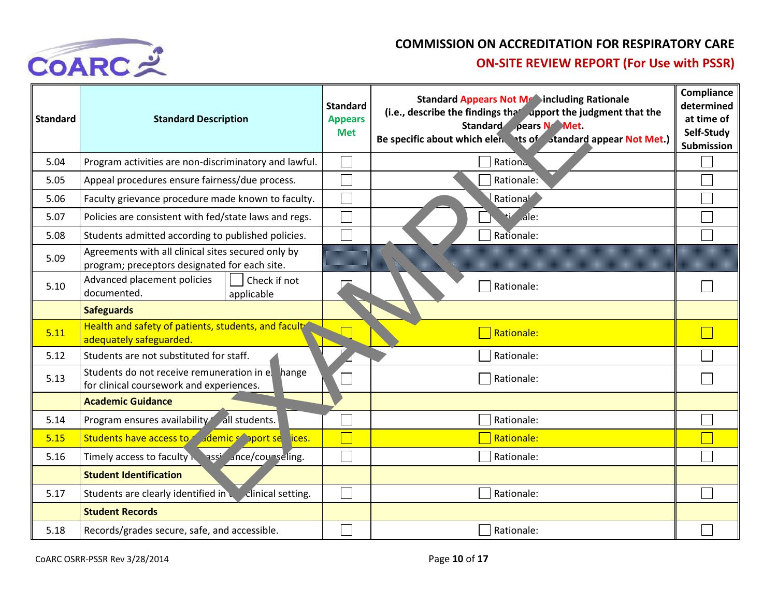

| <b>Standard</b> | <b>Standard Description</b>                                                                         | <b>Standard</b><br><b>Appears</b><br><b>Met</b> | <b>Standard Appears Not Metaincluding Rationale</b><br>(i.e., describe the findings the <i>dpport</i> the judgment that the<br>Standard pears N Met.<br>Be specific about which elen ts of standard appear Not Met.) | <b>Compliance</b><br>determined<br>at time of<br>Self-Study<br>Submission |
|-----------------|-----------------------------------------------------------------------------------------------------|-------------------------------------------------|----------------------------------------------------------------------------------------------------------------------------------------------------------------------------------------------------------------------|---------------------------------------------------------------------------|
| 5.04            | Program activities are non-discriminatory and lawful.                                               |                                                 | Rationa                                                                                                                                                                                                              |                                                                           |
| 5.05            | Appeal procedures ensure fairness/due process.                                                      |                                                 | Rationale:                                                                                                                                                                                                           |                                                                           |
| 5.06            | Faculty grievance procedure made known to faculty.                                                  |                                                 | Rationa <sup>l</sup>                                                                                                                                                                                                 |                                                                           |
| 5.07            | Policies are consistent with fed/state laws and regs.                                               |                                                 | ale:                                                                                                                                                                                                                 |                                                                           |
| 5.08            | Students admitted according to published policies.                                                  |                                                 | Rationale:                                                                                                                                                                                                           |                                                                           |
| 5.09            | Agreements with all clinical sites secured only by<br>program; preceptors designated for each site. |                                                 |                                                                                                                                                                                                                      |                                                                           |
| 5.10            | Advanced placement policies<br>Check if not<br>documented.<br>applicable                            |                                                 | Rationale:                                                                                                                                                                                                           |                                                                           |
|                 | <b>Safeguards</b>                                                                                   |                                                 |                                                                                                                                                                                                                      |                                                                           |
| 5.11            | Health and safety of patients, students, and facult<br>adequately safeguarded.                      |                                                 | <b>Rationale:</b>                                                                                                                                                                                                    |                                                                           |
| 5.12            | Students are not substituted for staff.                                                             |                                                 | Rationale:                                                                                                                                                                                                           |                                                                           |
| 5.13            | Students do not receive remuneration in e.<br>hange<br>for clinical coursework and experiences.     |                                                 | Rationale:                                                                                                                                                                                                           |                                                                           |
|                 | <b>Academic Guidance</b>                                                                            |                                                 |                                                                                                                                                                                                                      |                                                                           |
| 5.14            | Program ensures availability all students.                                                          |                                                 | Rationale:                                                                                                                                                                                                           |                                                                           |
| 5.15            | Students have access to demics oport se lices.                                                      |                                                 | Rationale:                                                                                                                                                                                                           |                                                                           |
| 5.16            | Timely access to faculty assignce/counseling.                                                       |                                                 | Rationale:                                                                                                                                                                                                           |                                                                           |
|                 | <b>Student Identification</b>                                                                       |                                                 |                                                                                                                                                                                                                      |                                                                           |
| 5.17            | Students are clearly identified in<br>clinical setting.                                             |                                                 | Rationale:                                                                                                                                                                                                           |                                                                           |
|                 | <b>Student Records</b>                                                                              |                                                 |                                                                                                                                                                                                                      |                                                                           |
| 5.18            | Records/grades secure, safe, and accessible.                                                        |                                                 | Rationale:                                                                                                                                                                                                           |                                                                           |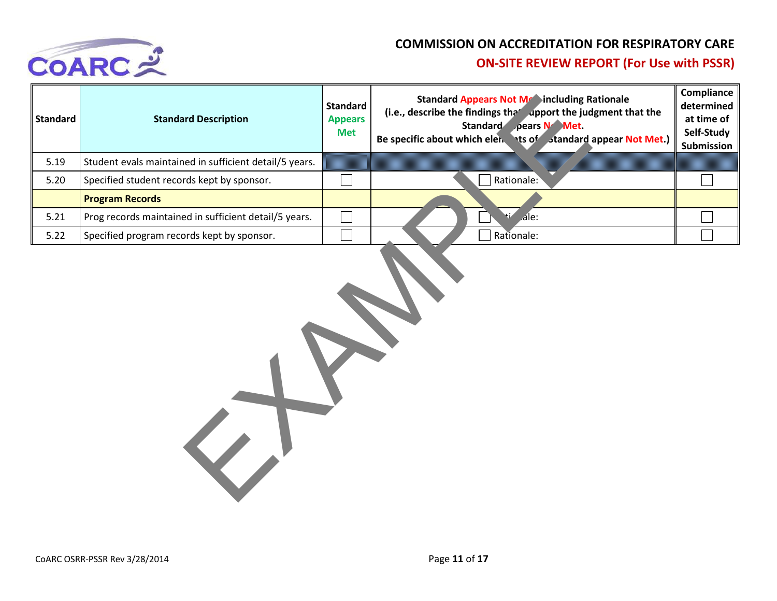

| <b>Standard</b> | <b>Standard Description</b>                            | <b>Standard</b><br><b>Appears</b><br><b>Met</b> | <b>Standard Appears Not Me Sincluding Rationale</b><br>(i.e., describe the findings the <i>upport</i> the judgment that the<br>Standard pears N Met.<br>Be specific about which elen ts of standard appear Not Met.) | Compliance<br>determined<br>at time of<br>Self-Study<br>Submission |
|-----------------|--------------------------------------------------------|-------------------------------------------------|----------------------------------------------------------------------------------------------------------------------------------------------------------------------------------------------------------------------|--------------------------------------------------------------------|
| 5.19            | Student evals maintained in sufficient detail/5 years. |                                                 |                                                                                                                                                                                                                      |                                                                    |
| 5.20            | Specified student records kept by sponsor.             |                                                 | Rationale:                                                                                                                                                                                                           | $\mathcal{L}_{\mathcal{A}}$                                        |
|                 | <b>Program Records</b>                                 |                                                 |                                                                                                                                                                                                                      |                                                                    |
| 5.21            | Prog records maintained in sufficient detail/5 years.  | Ξ                                               | ١ŧ<br>$A$ le:                                                                                                                                                                                                        |                                                                    |
| 5.22            | Specified program records kept by sponsor.             |                                                 | Rationale:                                                                                                                                                                                                           |                                                                    |
|                 |                                                        |                                                 |                                                                                                                                                                                                                      |                                                                    |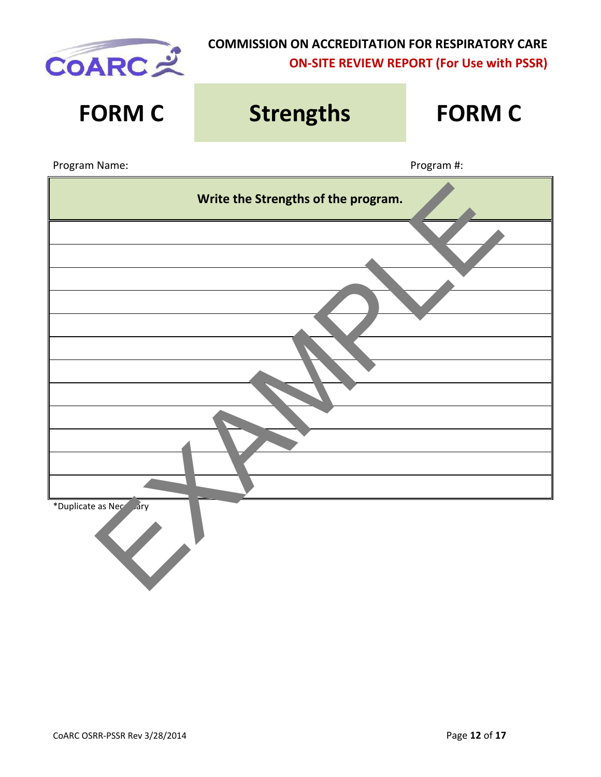

| <b>FORM C</b>          | <b>Strengths</b>                    | <b>FORM C</b> |  |  |  |
|------------------------|-------------------------------------|---------------|--|--|--|
| Program Name:          |                                     | Program #:    |  |  |  |
|                        | Write the Strengths of the program. |               |  |  |  |
|                        |                                     |               |  |  |  |
|                        |                                     |               |  |  |  |
|                        |                                     |               |  |  |  |
|                        |                                     |               |  |  |  |
|                        |                                     |               |  |  |  |
|                        |                                     |               |  |  |  |
|                        |                                     |               |  |  |  |
| *Duplicate as Necesary |                                     |               |  |  |  |
|                        |                                     |               |  |  |  |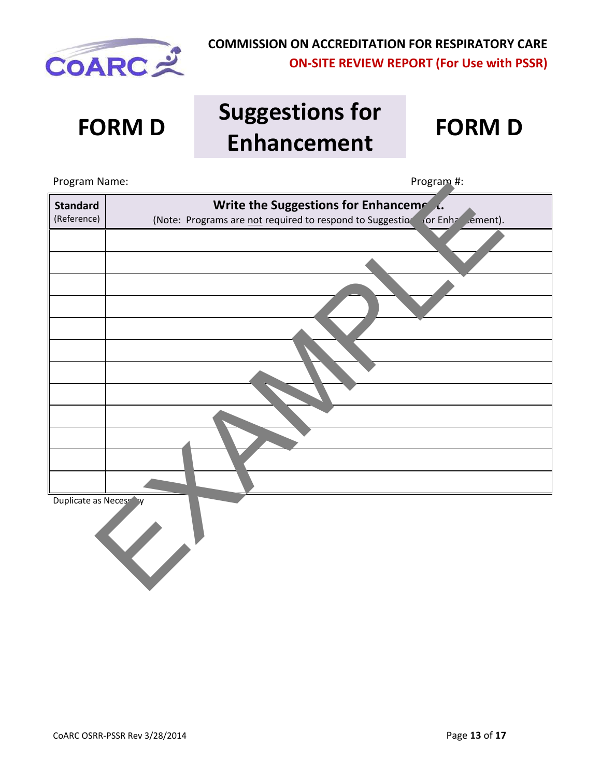

# **FORM D Suggestions for Enhancement FORM D**

| Program Name:                  | Program #:                                                                                                            |
|--------------------------------|-----------------------------------------------------------------------------------------------------------------------|
| <b>Standard</b><br>(Reference) | Write the Suggestions for Enhancemeral<br>(Note: Programs are not required to respond to Suggestion for Enhancement). |
|                                |                                                                                                                       |
|                                |                                                                                                                       |
|                                |                                                                                                                       |
|                                |                                                                                                                       |
|                                |                                                                                                                       |
|                                |                                                                                                                       |
|                                |                                                                                                                       |
|                                |                                                                                                                       |
|                                |                                                                                                                       |
|                                |                                                                                                                       |
|                                |                                                                                                                       |
| Duplicate as Necessary         |                                                                                                                       |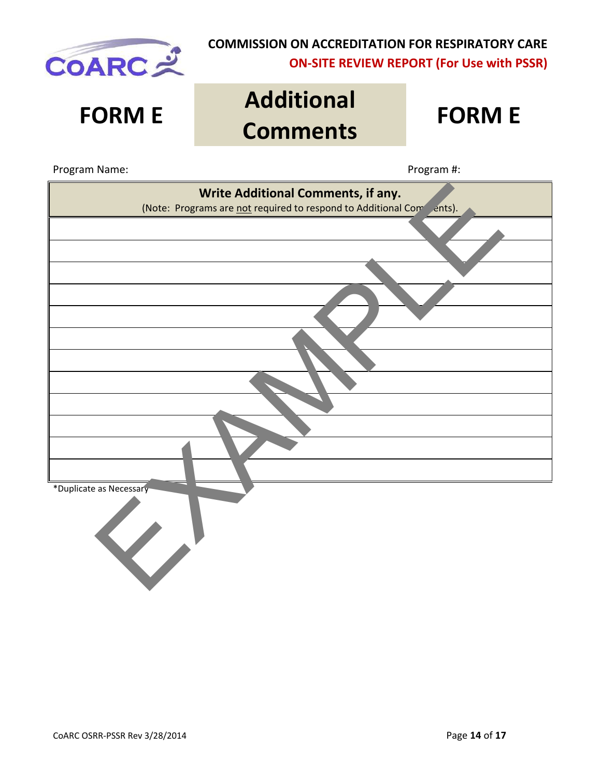

# **FORM E Additional Comments FORM E**



Program Name: Name: Program #: Program #: Program #: Program #: Program #: Program #: Program #: Program #: Program #: Program #: Program #: Program #: Program #: Program #: Program #: Program #: Program #: Program #: Prog

| Write Additional Comments, if any.<br>(Note: Programs are not required to respond to Additional Compants). |
|------------------------------------------------------------------------------------------------------------|
|                                                                                                            |
|                                                                                                            |
|                                                                                                            |
|                                                                                                            |
|                                                                                                            |
|                                                                                                            |
|                                                                                                            |
|                                                                                                            |
|                                                                                                            |
|                                                                                                            |
|                                                                                                            |
|                                                                                                            |
|                                                                                                            |
| *Duplicate as Necessary                                                                                    |
| $\langle \cdot \rangle$                                                                                    |
|                                                                                                            |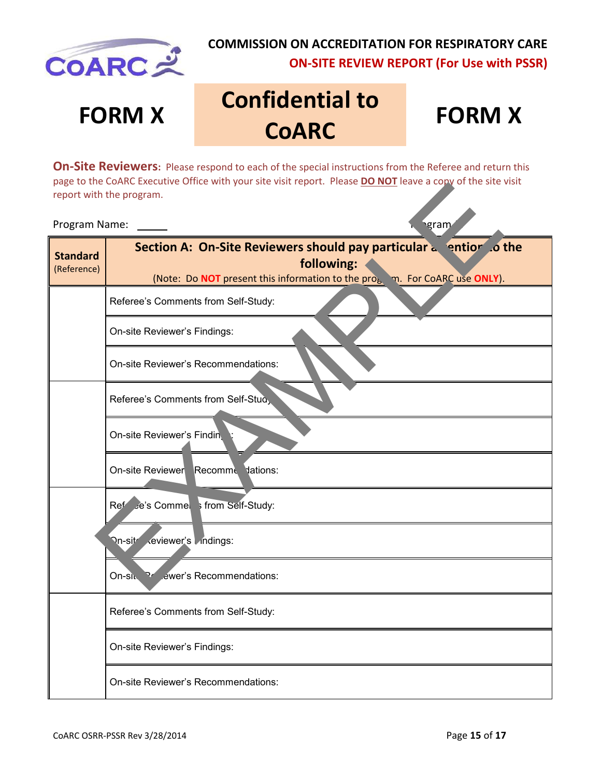

# **FORM X Confidential to COARC**

# **FORM X**

**On-Site Reviewers:** Please respond to each of the special instructions from the Referee and return this page to the CoARC Executive Office with your site visit report. Please **DO NOT** leave a copy of the site visit report with the program.

#### Program Name: Note and the set of the set of the set of the set of the set of the set of the set of the set of the set of the set of the set of the set of the set of the set of the set of the set of the set of the set of t

|                                | page to the coand executive Office with your site visit report. Please <b>DO NOT</b> leave a copy of the site visit<br>report with the program.                                                                                             |
|--------------------------------|---------------------------------------------------------------------------------------------------------------------------------------------------------------------------------------------------------------------------------------------|
| Program Name:                  | <b>gram</b>                                                                                                                                                                                                                                 |
| <b>Standard</b><br>(Reference) | <b>Section A: On-Site Reviewers should pay particular a light of the Section A: On-Site Reviewers should pay particular a light</b><br>following:<br>(Note: Do NOT present this information to the pro <sub>b</sub> m. For CoARC use ONLY). |
|                                | Referee's Comments from Self-Study:                                                                                                                                                                                                         |
|                                | On-site Reviewer's Findings:                                                                                                                                                                                                                |
|                                | On-site Reviewer's Recommendations:                                                                                                                                                                                                         |
|                                | Referee's Comments from Self-Stud,                                                                                                                                                                                                          |
|                                | On-site Reviewer's Findin                                                                                                                                                                                                                   |
|                                | On-site Reviewer Recomme dations:                                                                                                                                                                                                           |
|                                | Ref e's Commei ; from Self-Study:                                                                                                                                                                                                           |
|                                | keviewer's Indings:<br><b>∩</b> n-sit∕                                                                                                                                                                                                      |
|                                | .ewer's Recommendations:<br>On-si $\mathcal{N}$                                                                                                                                                                                             |
|                                | Referee's Comments from Self-Study:                                                                                                                                                                                                         |
|                                | On-site Reviewer's Findings:                                                                                                                                                                                                                |
|                                | On-site Reviewer's Recommendations:                                                                                                                                                                                                         |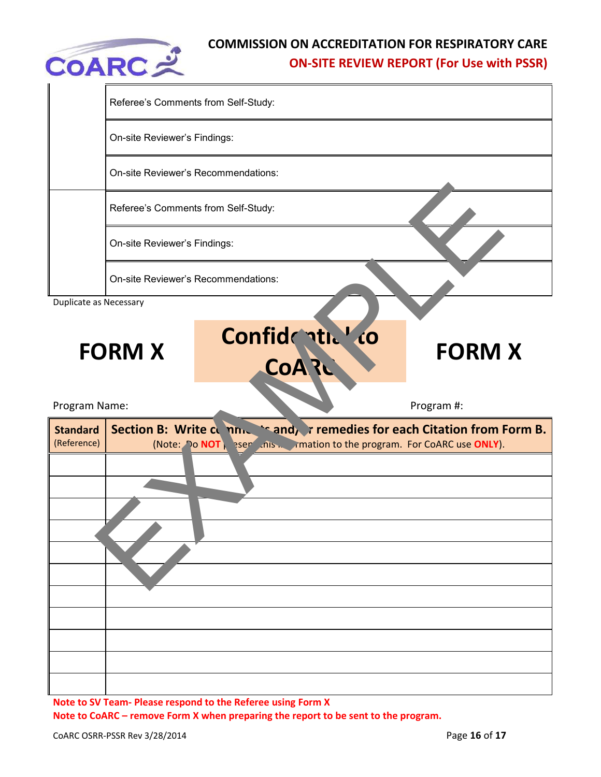

|                               | Referee's Comments from Self-Study:                            |                                                  |  |  |
|-------------------------------|----------------------------------------------------------------|--------------------------------------------------|--|--|
|                               | On-site Reviewer's Findings:                                   |                                                  |  |  |
|                               | On-site Reviewer's Recommendations:                            |                                                  |  |  |
|                               | Referee's Comments from Self-Study:                            |                                                  |  |  |
|                               | On-site Reviewer's Findings:                                   |                                                  |  |  |
|                               | On-site Reviewer's Recommendations:                            |                                                  |  |  |
| <b>Duplicate as Necessary</b> |                                                                |                                                  |  |  |
|                               | Confidential co<br><b>FORM X</b><br>CoA?                       | <b>FORM X</b>                                    |  |  |
|                               |                                                                |                                                  |  |  |
| Program Name:                 |                                                                | Program #:                                       |  |  |
| <b>Standard</b>               | Section B: Write cumnum                                        | `sand, r remedies for each Citation from Form B. |  |  |
| (Reference)                   | (Note: Do NOT), esemption to the program. For CoARC use ONLY). |                                                  |  |  |
|                               |                                                                |                                                  |  |  |
|                               |                                                                |                                                  |  |  |
|                               |                                                                |                                                  |  |  |
|                               |                                                                |                                                  |  |  |
|                               |                                                                |                                                  |  |  |

**Note to SV Team- Please respond to the Referee using Form X Note to CoARC – remove Form X when preparing the report to be sent to the program.**